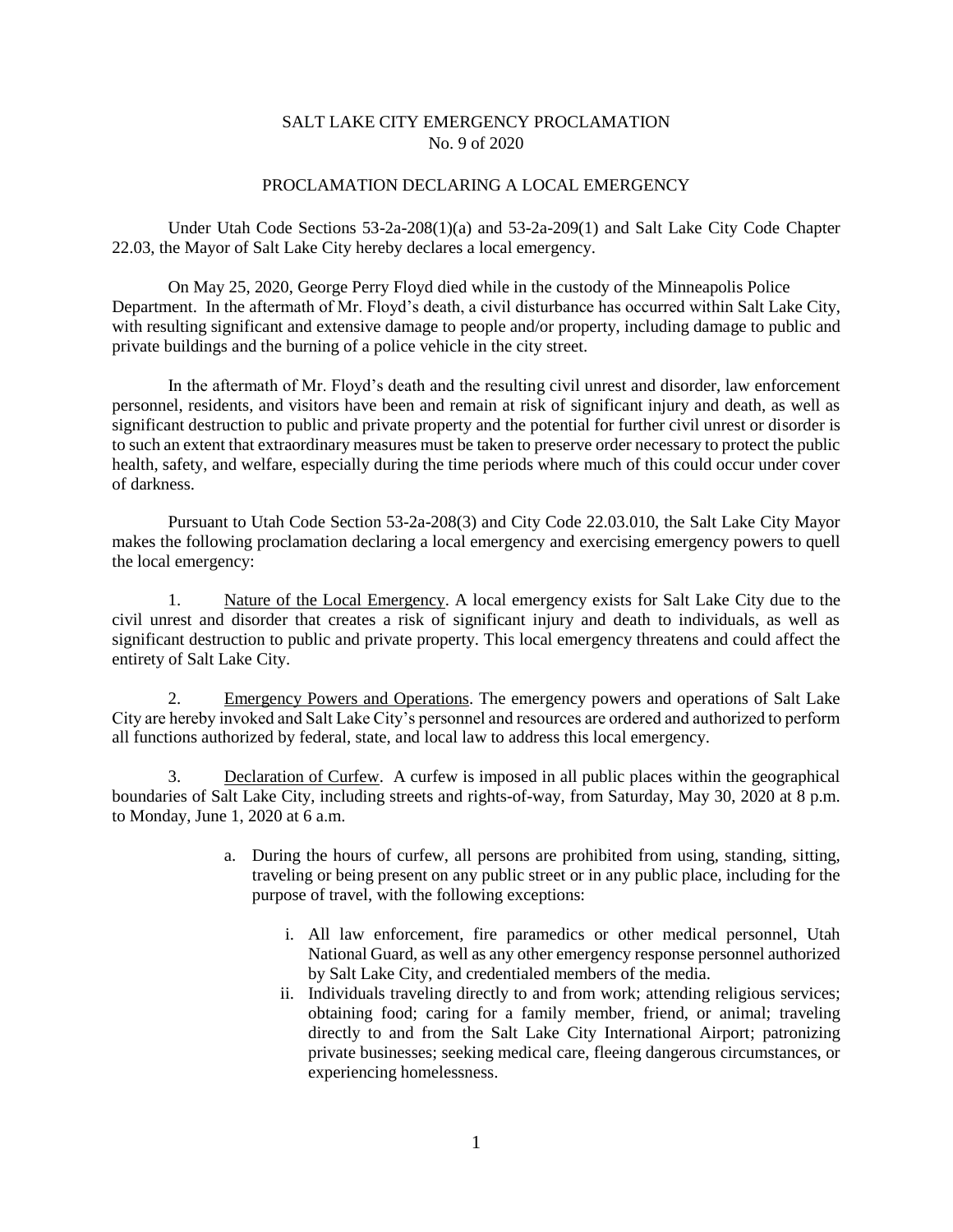## SALT LAKE CITY EMERGENCY PROCLAMATION No. 9 of 2020

## PROCLAMATION DECLARING A LOCAL EMERGENCY

Under Utah Code Sections 53-2a-208(1)(a) and 53-2a-209(1) and Salt Lake City Code Chapter 22.03, the Mayor of Salt Lake City hereby declares a local emergency.

On May 25, 2020, George Perry Floyd died while in the custody of the Minneapolis Police Department. In the aftermath of Mr. Floyd's death, a civil disturbance has occurred within Salt Lake City, with resulting significant and extensive damage to people and/or property, including damage to public and private buildings and the burning of a police vehicle in the city street.

In the aftermath of Mr. Floyd's death and the resulting civil unrest and disorder, law enforcement personnel, residents, and visitors have been and remain at risk of significant injury and death, as well as significant destruction to public and private property and the potential for further civil unrest or disorder is to such an extent that extraordinary measures must be taken to preserve order necessary to protect the public health, safety, and welfare, especially during the time periods where much of this could occur under cover of darkness.

Pursuant to Utah Code Section 53-2a-208(3) and City Code 22.03.010, the Salt Lake City Mayor makes the following proclamation declaring a local emergency and exercising emergency powers to quell the local emergency:

1. Nature of the Local Emergency. A local emergency exists for Salt Lake City due to the civil unrest and disorder that creates a risk of significant injury and death to individuals, as well as significant destruction to public and private property. This local emergency threatens and could affect the entirety of Salt Lake City.

2. Emergency Powers and Operations. The emergency powers and operations of Salt Lake City are hereby invoked and Salt Lake City's personnel and resources are ordered and authorized to perform all functions authorized by federal, state, and local law to address this local emergency.

3. Declaration of Curfew. A curfew is imposed in all public places within the geographical boundaries of Salt Lake City, including streets and rights-of-way, from Saturday, May 30, 2020 at 8 p.m. to Monday, June 1, 2020 at 6 a.m.

- a. During the hours of curfew, all persons are prohibited from using, standing, sitting, traveling or being present on any public street or in any public place, including for the purpose of travel, with the following exceptions:
	- i. All law enforcement, fire paramedics or other medical personnel, Utah National Guard, as well as any other emergency response personnel authorized by Salt Lake City, and credentialed members of the media.
	- ii. Individuals traveling directly to and from work; attending religious services; obtaining food; caring for a family member, friend, or animal; traveling directly to and from the Salt Lake City International Airport; patronizing private businesses; seeking medical care, fleeing dangerous circumstances, or experiencing homelessness.